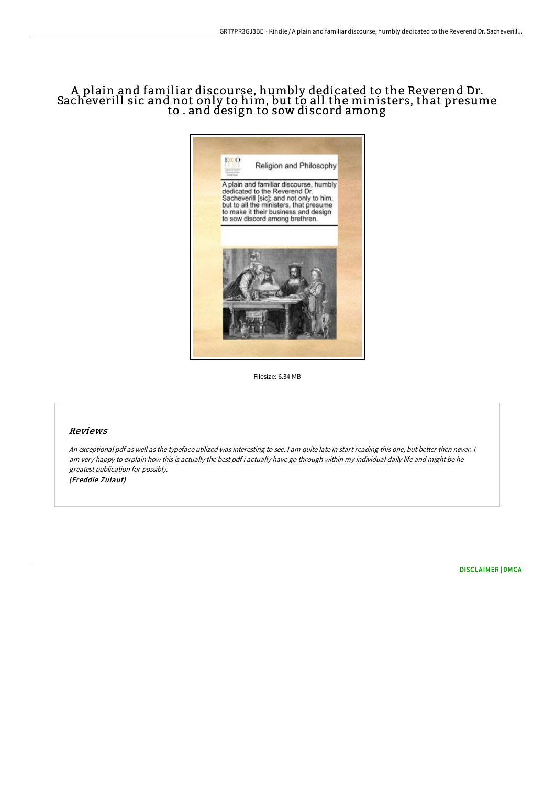# A plain and familiar discourse, humbly dedicated to the Reverend Dr. Sacheverill sic and not only to him, but to all the ministers, that presume to . and design to sow discord among



Filesize: 6.34 MB

## Reviews

An exceptional pdf as well as the typeface utilized was interesting to see. <sup>I</sup> am quite late in start reading this one, but better then never. <sup>I</sup> am very happy to explain how this is actually the best pdf i actually have go through within my individual daily life and might be he greatest publication for possibly. (Freddie Zulauf)

[DISCLAIMER](http://www.bookdirs.com/disclaimer.html) | [DMCA](http://www.bookdirs.com/dmca.html)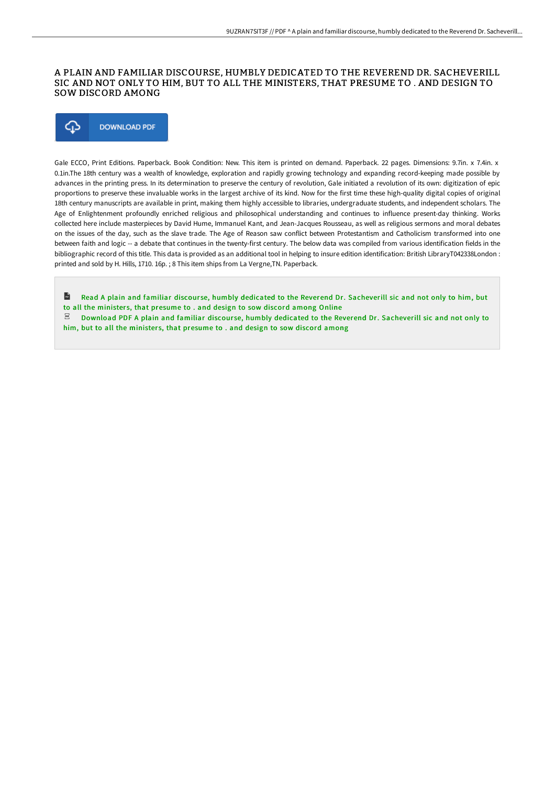## A PLAIN AND FAMILIAR DISCOURSE, HUMBLY DEDICATED TO THE REVEREND DR. SACHEVERILL SIC AND NOT ONLY TO HIM, BUT TO ALL THE MINISTERS, THAT PRESUME TO . AND DESIGN TO SOW DISCORD AMONG



Gale ECCO, Print Editions. Paperback. Book Condition: New. This item is printed on demand. Paperback. 22 pages. Dimensions: 9.7in. x 7.4in. x 0.1in.The 18th century was a wealth of knowledge, exploration and rapidly growing technology and expanding record-keeping made possible by advances in the printing press. In its determination to preserve the century of revolution, Gale initiated a revolution of its own: digitization of epic proportions to preserve these invaluable works in the largest archive of its kind. Now for the first time these high-quality digital copies of original 18th century manuscripts are available in print, making them highly accessible to libraries, undergraduate students, and independent scholars. The Age of Enlightenment profoundly enriched religious and philosophical understanding and continues to influence present-day thinking. Works collected here include masterpieces by David Hume, Immanuel Kant, and Jean-Jacques Rousseau, as well as religious sermons and moral debates on the issues of the day, such as the slave trade. The Age of Reason saw conflict between Protestantism and Catholicism transformed into one between faith and logic -- a debate that continues in the twenty-first century. The below data was compiled from various identification fields in the bibliographic record of this title. This data is provided as an additional tool in helping to insure edition identification: British LibraryT042338London : printed and sold by H. Hills, 1710. 16p. ; 8 This item ships from La Vergne,TN. Paperback.

 $\mathbf{r}$ Read A plain and familiar discourse, humbly dedicated to the Reverend Dr. [Sacheverill](http://www.bookdirs.com/a-plain-and-familiar-discourse-humbly-dedicated-.html) sic and not only to him, but to all the ministers, that presume to . and design to sow discord among Online

 $\mathbb E$  Download PDF A plain and familiar discourse, humbly dedicated to the Reverend Dr. [Sacheverill](http://www.bookdirs.com/a-plain-and-familiar-discourse-humbly-dedicated-.html) sic and not only to him, but to all the ministers, that presume to . and design to sow discord among